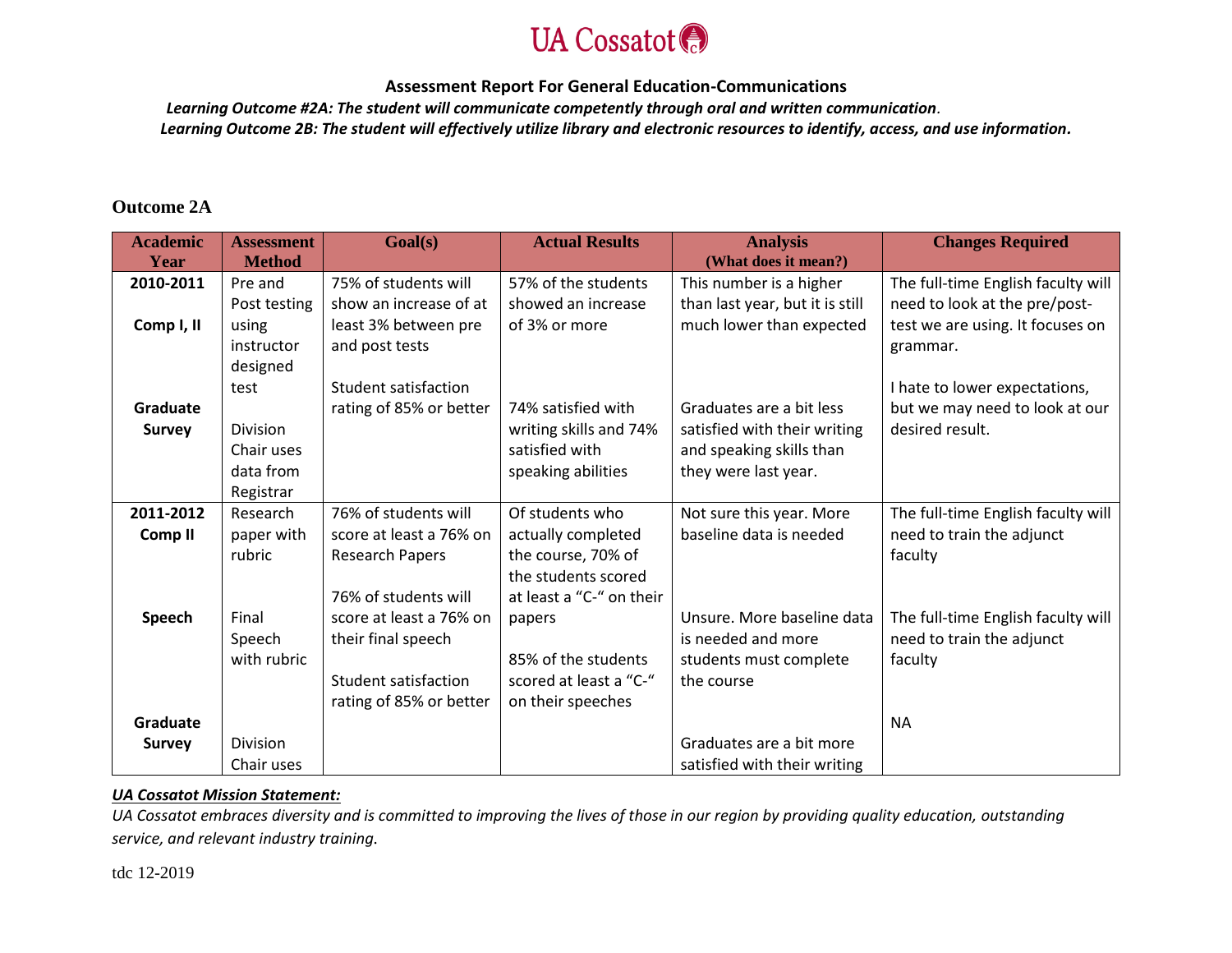

 *Learning Outcome #2A: The student will communicate competently through oral and written communication.*

*Learning Outcome 2B: The student will effectively utilize library and electronic resources to identify, access, and use information.*

# **Outcome 2A**

| <b>Academic</b><br>Year | <b>Assessment</b><br><b>Method</b> | Goal(s)                 | <b>Actual Results</b>    | <b>Analysis</b><br>(What does it mean?) | <b>Changes Required</b>            |
|-------------------------|------------------------------------|-------------------------|--------------------------|-----------------------------------------|------------------------------------|
| 2010-2011               | Pre and                            | 75% of students will    | 57% of the students      | This number is a higher                 | The full-time English faculty will |
|                         |                                    | show an increase of at  | showed an increase       |                                         | need to look at the pre/post-      |
|                         | Post testing                       |                         |                          | than last year, but it is still         |                                    |
| Comp I, II              | using                              | least 3% between pre    | of 3% or more            | much lower than expected                | test we are using. It focuses on   |
|                         | instructor                         | and post tests          |                          |                                         | grammar.                           |
|                         | designed                           |                         |                          |                                         |                                    |
|                         | test                               | Student satisfaction    |                          |                                         | I hate to lower expectations,      |
| Graduate                |                                    | rating of 85% or better | 74% satisfied with       | Graduates are a bit less                | but we may need to look at our     |
| <b>Survey</b>           | <b>Division</b>                    |                         | writing skills and 74%   | satisfied with their writing            | desired result.                    |
|                         | Chair uses                         |                         | satisfied with           | and speaking skills than                |                                    |
|                         | data from                          |                         | speaking abilities       | they were last year.                    |                                    |
|                         | Registrar                          |                         |                          |                                         |                                    |
| 2011-2012               | Research                           | 76% of students will    | Of students who          | Not sure this year. More                | The full-time English faculty will |
| Comp <sub>II</sub>      | paper with                         | score at least a 76% on | actually completed       | baseline data is needed                 | need to train the adjunct          |
|                         | rubric                             | <b>Research Papers</b>  | the course, 70% of       |                                         | faculty                            |
|                         |                                    |                         | the students scored      |                                         |                                    |
|                         |                                    | 76% of students will    | at least a "C-" on their |                                         |                                    |
| Speech                  | Final                              | score at least a 76% on |                          | Unsure. More baseline data              | The full-time English faculty will |
|                         | Speech                             |                         | papers                   | is needed and more                      | need to train the adjunct          |
|                         | with rubric                        | their final speech      | 85% of the students      |                                         |                                    |
|                         |                                    |                         |                          | students must complete                  | faculty                            |
|                         |                                    | Student satisfaction    | scored at least a "C-"   | the course                              |                                    |
|                         |                                    | rating of 85% or better | on their speeches        |                                         |                                    |
| Graduate                |                                    |                         |                          |                                         | <b>NA</b>                          |
| <b>Survey</b>           | <b>Division</b>                    |                         |                          | Graduates are a bit more                |                                    |
|                         | Chair uses                         |                         |                          | satisfied with their writing            |                                    |

## *UA Cossatot Mission Statement:*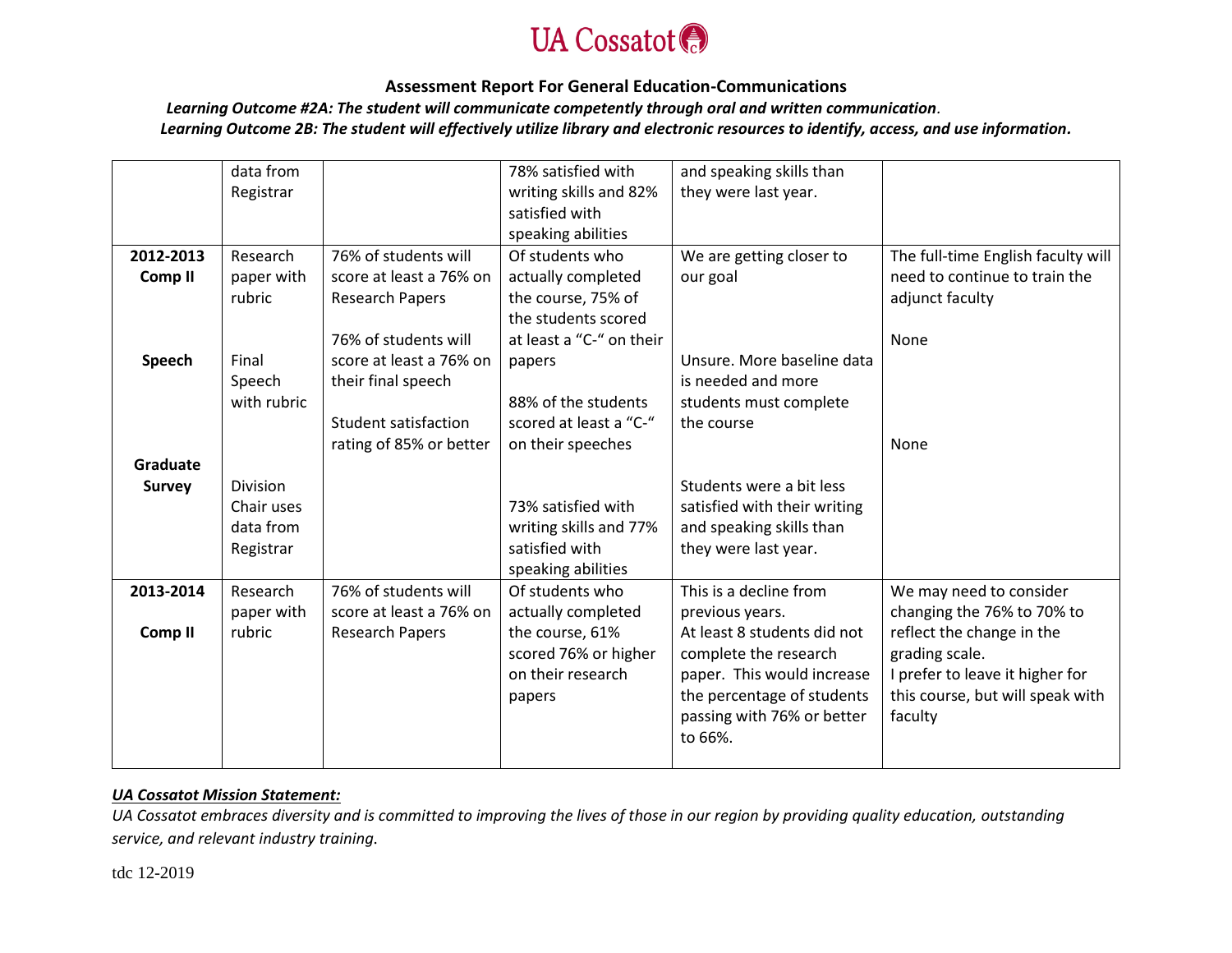

 *Learning Outcome #2A: The student will communicate competently through oral and written communication.*

*Learning Outcome 2B: The student will effectively utilize library and electronic resources to identify, access, and use information.*

|                    | data from   |                         | 78% satisfied with       | and speaking skills than     |                                    |
|--------------------|-------------|-------------------------|--------------------------|------------------------------|------------------------------------|
|                    | Registrar   |                         | writing skills and 82%   | they were last year.         |                                    |
|                    |             |                         | satisfied with           |                              |                                    |
|                    |             |                         | speaking abilities       |                              |                                    |
| 2012-2013          | Research    | 76% of students will    | Of students who          | We are getting closer to     | The full-time English faculty will |
| Comp <sub>II</sub> | paper with  | score at least a 76% on | actually completed       | our goal                     | need to continue to train the      |
|                    | rubric      | <b>Research Papers</b>  | the course, 75% of       |                              | adjunct faculty                    |
|                    |             |                         | the students scored      |                              |                                    |
|                    |             | 76% of students will    | at least a "C-" on their |                              | None                               |
| Speech             | Final       | score at least a 76% on | papers                   | Unsure. More baseline data   |                                    |
|                    | Speech      | their final speech      |                          | is needed and more           |                                    |
|                    | with rubric |                         | 88% of the students      | students must complete       |                                    |
|                    |             | Student satisfaction    | scored at least a "C-"   | the course                   |                                    |
|                    |             | rating of 85% or better | on their speeches        |                              | None                               |
| Graduate           |             |                         |                          |                              |                                    |
| <b>Survey</b>      | Division    |                         |                          | Students were a bit less     |                                    |
|                    | Chair uses  |                         | 73% satisfied with       | satisfied with their writing |                                    |
|                    | data from   |                         | writing skills and 77%   | and speaking skills than     |                                    |
|                    | Registrar   |                         | satisfied with           | they were last year.         |                                    |
|                    |             |                         | speaking abilities       |                              |                                    |
| 2013-2014          | Research    | 76% of students will    | Of students who          | This is a decline from       | We may need to consider            |
|                    | paper with  | score at least a 76% on | actually completed       | previous years.              | changing the 76% to 70% to         |
| Comp <sub>II</sub> | rubric      | <b>Research Papers</b>  | the course, 61%          | At least 8 students did not  | reflect the change in the          |
|                    |             |                         | scored 76% or higher     | complete the research        | grading scale.                     |
|                    |             |                         | on their research        | paper. This would increase   | I prefer to leave it higher for    |
|                    |             |                         | papers                   | the percentage of students   | this course, but will speak with   |
|                    |             |                         |                          | passing with 76% or better   | faculty                            |
|                    |             |                         |                          | to 66%.                      |                                    |
|                    |             |                         |                          |                              |                                    |

## *UA Cossatot Mission Statement:*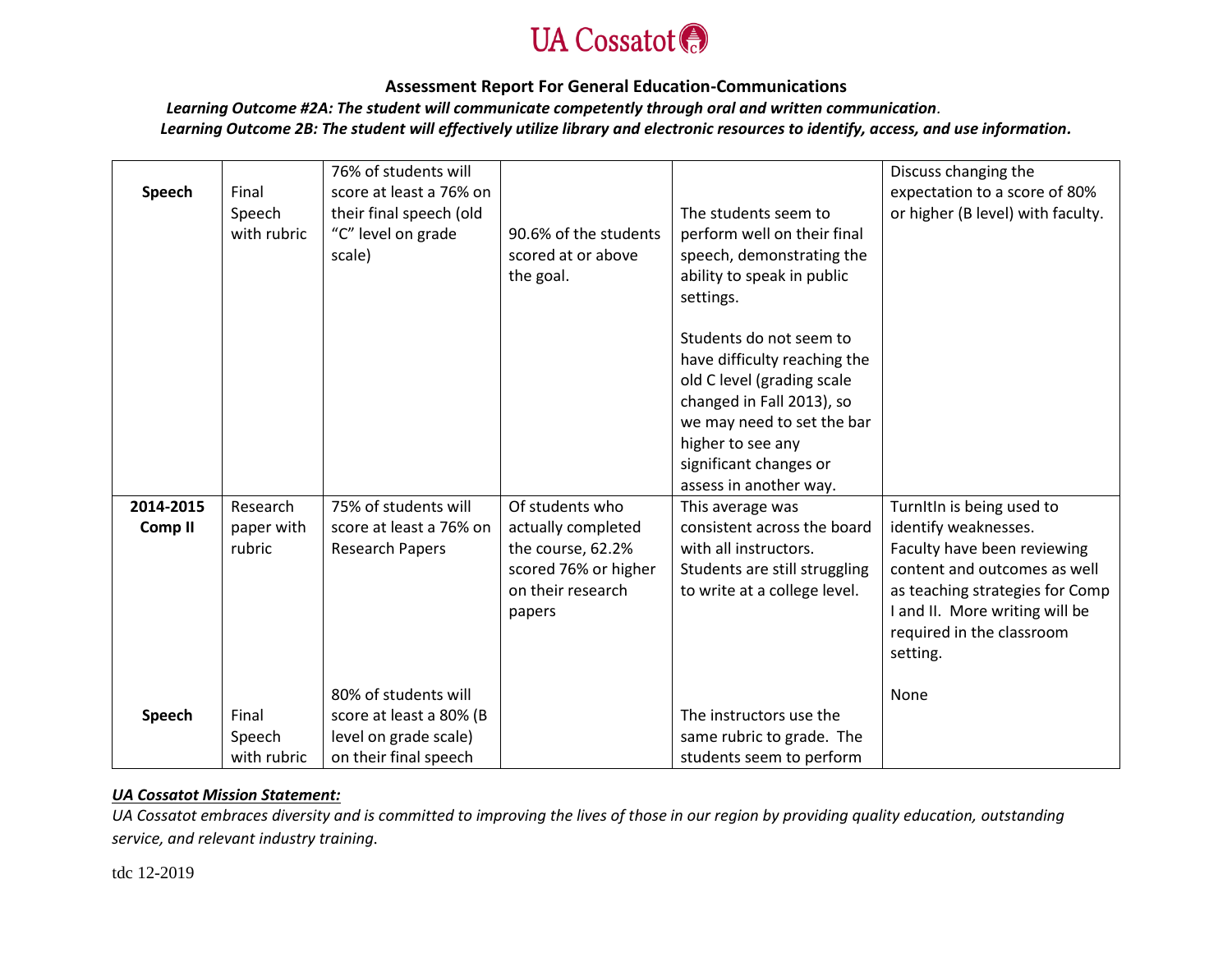

 *Learning Outcome #2A: The student will communicate competently through oral and written communication.*

*Learning Outcome 2B: The student will effectively utilize library and electronic resources to identify, access, and use information.*

|                    |             | 76% of students will    |                       |                               | Discuss changing the              |
|--------------------|-------------|-------------------------|-----------------------|-------------------------------|-----------------------------------|
| Speech             | Final       | score at least a 76% on |                       |                               | expectation to a score of 80%     |
|                    | Speech      | their final speech (old |                       | The students seem to          | or higher (B level) with faculty. |
|                    | with rubric | "C" level on grade      | 90.6% of the students | perform well on their final   |                                   |
|                    |             | scale)                  | scored at or above    | speech, demonstrating the     |                                   |
|                    |             |                         | the goal.             | ability to speak in public    |                                   |
|                    |             |                         |                       | settings.                     |                                   |
|                    |             |                         |                       |                               |                                   |
|                    |             |                         |                       | Students do not seem to       |                                   |
|                    |             |                         |                       | have difficulty reaching the  |                                   |
|                    |             |                         |                       | old C level (grading scale    |                                   |
|                    |             |                         |                       | changed in Fall 2013), so     |                                   |
|                    |             |                         |                       | we may need to set the bar    |                                   |
|                    |             |                         |                       | higher to see any             |                                   |
|                    |             |                         |                       | significant changes or        |                                   |
|                    |             |                         |                       | assess in another way.        |                                   |
| 2014-2015          | Research    | 75% of students will    | Of students who       | This average was              | TurnItIn is being used to         |
| Comp <sub>II</sub> | paper with  | score at least a 76% on | actually completed    | consistent across the board   | identify weaknesses.              |
|                    | rubric      | <b>Research Papers</b>  | the course, 62.2%     | with all instructors.         | Faculty have been reviewing       |
|                    |             |                         | scored 76% or higher  | Students are still struggling | content and outcomes as well      |
|                    |             |                         | on their research     | to write at a college level.  | as teaching strategies for Comp   |
|                    |             |                         | papers                |                               | I and II. More writing will be    |
|                    |             |                         |                       |                               | required in the classroom         |
|                    |             |                         |                       |                               | setting.                          |
|                    |             |                         |                       |                               |                                   |
|                    |             | 80% of students will    |                       |                               | None                              |
| Speech             | Final       | score at least a 80% (B |                       | The instructors use the       |                                   |
|                    | Speech      | level on grade scale)   |                       | same rubric to grade. The     |                                   |
|                    | with rubric | on their final speech   |                       | students seem to perform      |                                   |

## *UA Cossatot Mission Statement:*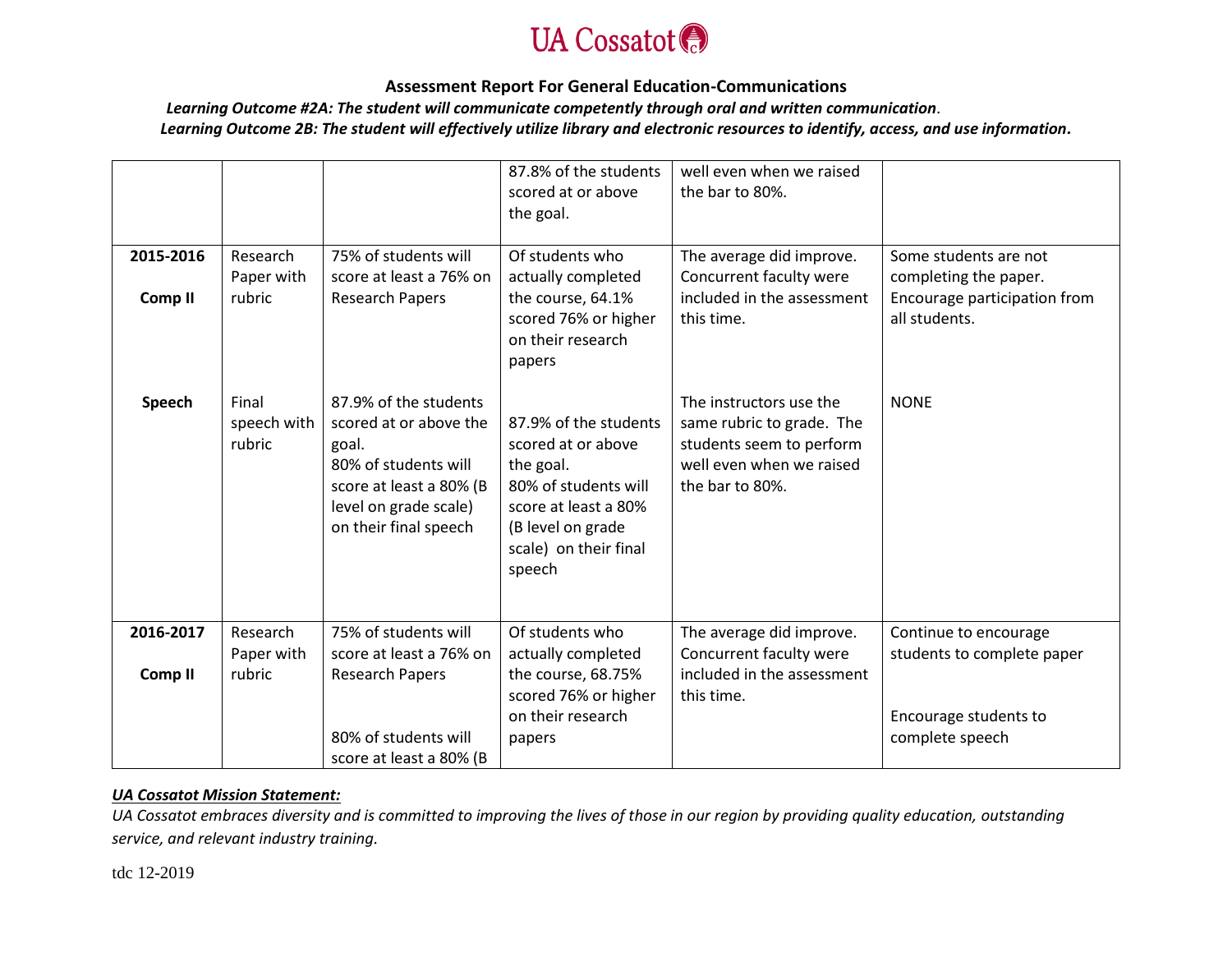

 *Learning Outcome #2A: The student will communicate competently through oral and written communication.*

*Learning Outcome 2B: The student will effectively utilize library and electronic resources to identify, access, and use information.*

| 2015-2016          | Research<br>Paper with         | 75% of students will<br>score at least a 76% on                                                                                                               | 87.8% of the students<br>scored at or above<br>the goal.<br>Of students who<br>actually completed                                                                | well even when we raised<br>the bar to 80%.<br>The average did improve.<br>Concurrent faculty were                              | Some students are not<br>completing the paper.      |
|--------------------|--------------------------------|---------------------------------------------------------------------------------------------------------------------------------------------------------------|------------------------------------------------------------------------------------------------------------------------------------------------------------------|---------------------------------------------------------------------------------------------------------------------------------|-----------------------------------------------------|
| Comp <sub>II</sub> | rubric                         | <b>Research Papers</b>                                                                                                                                        | the course, 64.1%<br>scored 76% or higher<br>on their research<br>papers                                                                                         | included in the assessment<br>this time.                                                                                        | Encourage participation from<br>all students.       |
| Speech             | Final<br>speech with<br>rubric | 87.9% of the students<br>scored at or above the<br>goal.<br>80% of students will<br>score at least a 80% (B<br>level on grade scale)<br>on their final speech | 87.9% of the students<br>scored at or above<br>the goal.<br>80% of students will<br>score at least a 80%<br>(B level on grade<br>scale) on their final<br>speech | The instructors use the<br>same rubric to grade. The<br>students seem to perform<br>well even when we raised<br>the bar to 80%. | <b>NONE</b>                                         |
| 2016-2017          | Research<br>Paper with         | 75% of students will<br>score at least a 76% on                                                                                                               | Of students who<br>actually completed                                                                                                                            | The average did improve.<br>Concurrent faculty were                                                                             | Continue to encourage<br>students to complete paper |
| Comp <sub>II</sub> | rubric                         | <b>Research Papers</b>                                                                                                                                        | the course, 68.75%<br>scored 76% or higher<br>on their research                                                                                                  | included in the assessment<br>this time.                                                                                        | Encourage students to                               |
|                    |                                | 80% of students will<br>score at least a 80% (B                                                                                                               | papers                                                                                                                                                           |                                                                                                                                 | complete speech                                     |

## *UA Cossatot Mission Statement:*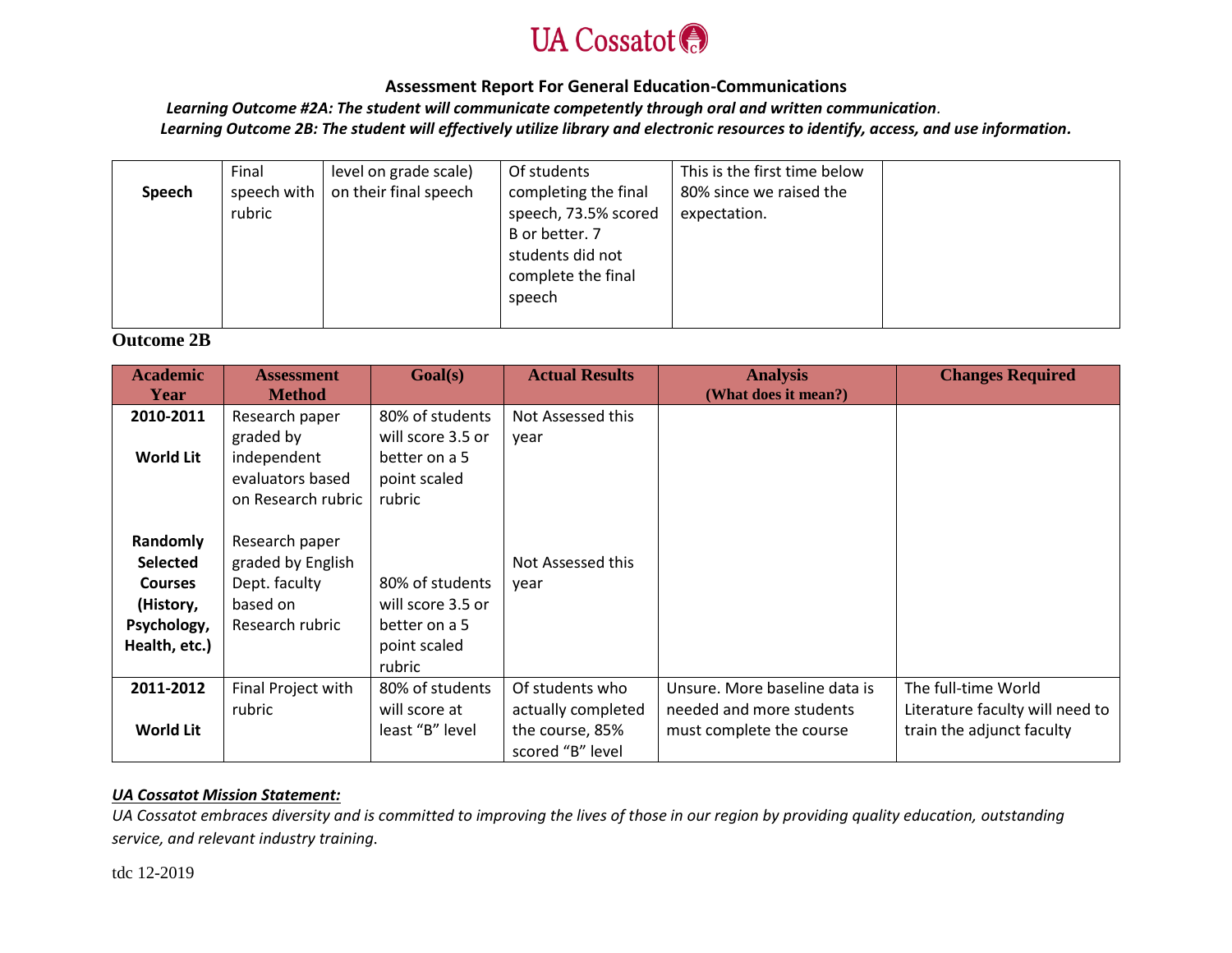

 *Learning Outcome #2A: The student will communicate competently through oral and written communication.*

*Learning Outcome 2B: The student will effectively utilize library and electronic resources to identify, access, and use information.*

|        | Final       | level on grade scale) | Of students          | This is the first time below |  |
|--------|-------------|-----------------------|----------------------|------------------------------|--|
| Speech | speech with | on their final speech | completing the final | 80% since we raised the      |  |
|        | rubric      |                       | speech, 73.5% scored | expectation.                 |  |
|        |             |                       | B or better. 7       |                              |  |
|        |             |                       | students did not     |                              |  |
|        |             |                       | complete the final   |                              |  |
|        |             |                       | speech               |                              |  |
|        |             |                       |                      |                              |  |

# **Outcome 2B**

| <b>Academic</b><br>Year | <b>Assessment</b><br><b>Method</b> | Goal(s)           | <b>Actual Results</b> | <b>Analysis</b><br>(What does it mean?) | <b>Changes Required</b>         |
|-------------------------|------------------------------------|-------------------|-----------------------|-----------------------------------------|---------------------------------|
| 2010-2011               | Research paper                     | 80% of students   | Not Assessed this     |                                         |                                 |
|                         | graded by                          | will score 3.5 or | year                  |                                         |                                 |
| <b>World Lit</b>        | independent                        | better on a 5     |                       |                                         |                                 |
|                         | evaluators based                   | point scaled      |                       |                                         |                                 |
|                         | on Research rubric                 | rubric            |                       |                                         |                                 |
|                         |                                    |                   |                       |                                         |                                 |
| Randomly                | Research paper                     |                   |                       |                                         |                                 |
| <b>Selected</b>         | graded by English                  |                   | Not Assessed this     |                                         |                                 |
| <b>Courses</b>          | Dept. faculty                      | 80% of students   | year                  |                                         |                                 |
| (History,               | based on                           | will score 3.5 or |                       |                                         |                                 |
| Psychology,             | Research rubric                    | better on a 5     |                       |                                         |                                 |
| Health, etc.)           |                                    | point scaled      |                       |                                         |                                 |
|                         |                                    | rubric            |                       |                                         |                                 |
| 2011-2012               | Final Project with                 | 80% of students   | Of students who       | Unsure. More baseline data is           | The full-time World             |
|                         | rubric                             | will score at     | actually completed    | needed and more students                | Literature faculty will need to |
| <b>World Lit</b>        |                                    | least "B" level   | the course, 85%       | must complete the course                | train the adjunct faculty       |
|                         |                                    |                   | scored "B" level      |                                         |                                 |

# *UA Cossatot Mission Statement:*

*UA Cossatot embraces diversity and is committed to improving the lives of those in our region by providing quality education, outstanding service, and relevant industry training.*

tdc 12-2019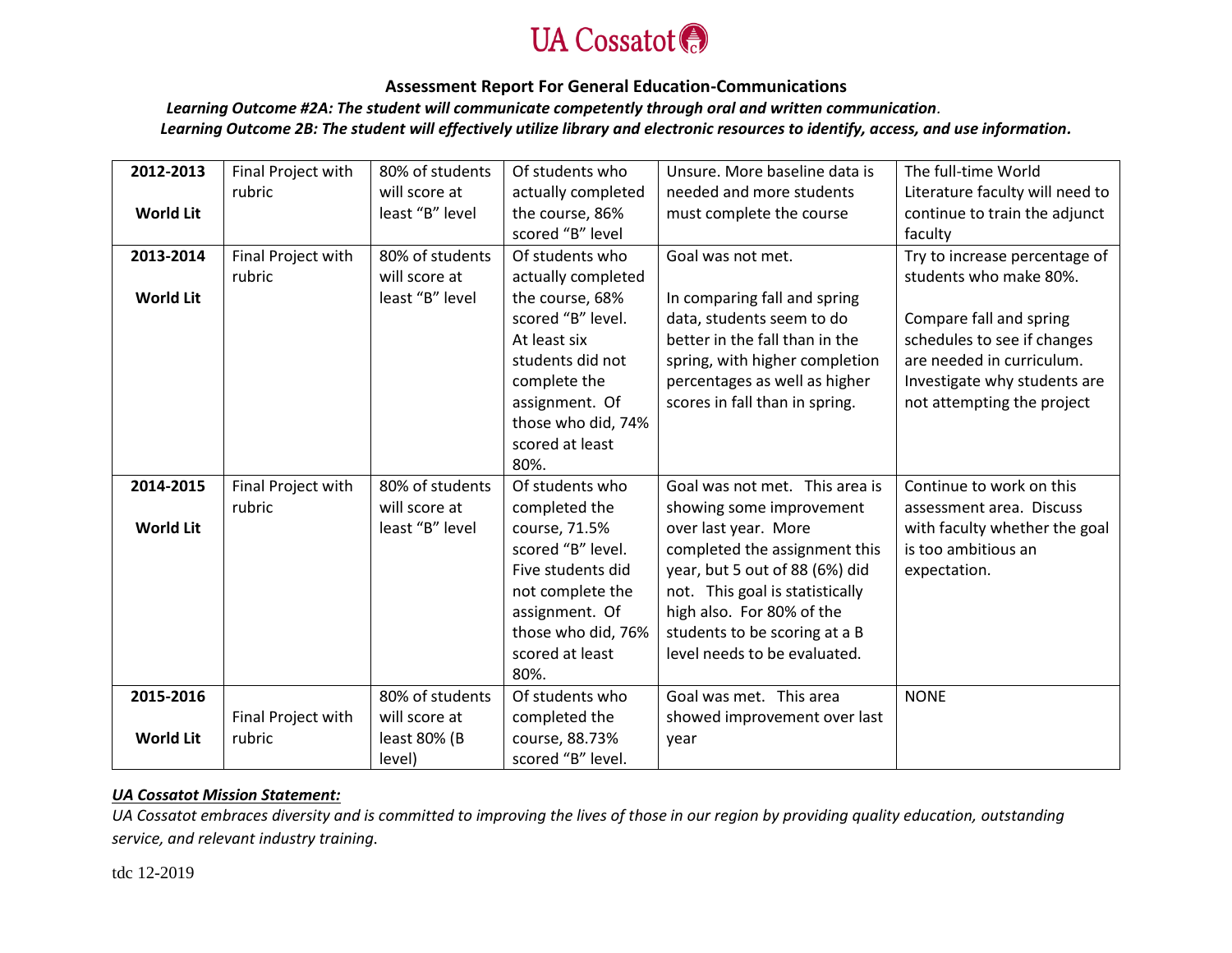

 *Learning Outcome #2A: The student will communicate competently through oral and written communication.*

*Learning Outcome 2B: The student will effectively utilize library and electronic resources to identify, access, and use information.*

| 2012-2013        | Final Project with | 80% of students | Of students who    | Unsure. More baseline data is   | The full-time World             |
|------------------|--------------------|-----------------|--------------------|---------------------------------|---------------------------------|
|                  | rubric             | will score at   | actually completed | needed and more students        | Literature faculty will need to |
| <b>World Lit</b> |                    | least "B" level | the course, 86%    | must complete the course        | continue to train the adjunct   |
|                  |                    |                 | scored "B" level   |                                 | faculty                         |
| 2013-2014        | Final Project with | 80% of students | Of students who    | Goal was not met.               | Try to increase percentage of   |
|                  | rubric             | will score at   | actually completed |                                 | students who make 80%.          |
| <b>World Lit</b> |                    | least "B" level | the course, 68%    | In comparing fall and spring    |                                 |
|                  |                    |                 | scored "B" level.  | data, students seem to do       | Compare fall and spring         |
|                  |                    |                 | At least six       | better in the fall than in the  | schedules to see if changes     |
|                  |                    |                 | students did not   | spring, with higher completion  | are needed in curriculum.       |
|                  |                    |                 | complete the       | percentages as well as higher   | Investigate why students are    |
|                  |                    |                 | assignment. Of     | scores in fall than in spring.  | not attempting the project      |
|                  |                    |                 | those who did, 74% |                                 |                                 |
|                  |                    |                 | scored at least    |                                 |                                 |
|                  |                    |                 | 80%.               |                                 |                                 |
| 2014-2015        | Final Project with | 80% of students | Of students who    | Goal was not met. This area is  | Continue to work on this        |
|                  | rubric             | will score at   | completed the      | showing some improvement        | assessment area. Discuss        |
| <b>World Lit</b> |                    | least "B" level | course, 71.5%      | over last year. More            | with faculty whether the goal   |
|                  |                    |                 | scored "B" level.  | completed the assignment this   | is too ambitious an             |
|                  |                    |                 | Five students did  | year, but 5 out of 88 (6%) did  | expectation.                    |
|                  |                    |                 | not complete the   | not. This goal is statistically |                                 |
|                  |                    |                 | assignment. Of     | high also. For 80% of the       |                                 |
|                  |                    |                 | those who did, 76% | students to be scoring at a B   |                                 |
|                  |                    |                 | scored at least    | level needs to be evaluated.    |                                 |
|                  |                    |                 | 80%.               |                                 |                                 |
| 2015-2016        |                    | 80% of students | Of students who    | Goal was met. This area         | <b>NONE</b>                     |
|                  | Final Project with | will score at   | completed the      | showed improvement over last    |                                 |
| <b>World Lit</b> | rubric             | least 80% (B    | course, 88.73%     | year                            |                                 |
|                  |                    | level)          | scored "B" level.  |                                 |                                 |

# *UA Cossatot Mission Statement:*